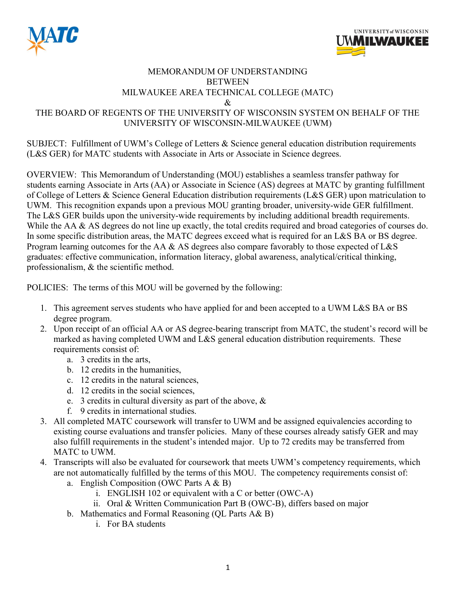



## MEMORANDUM OF UNDERSTANDING BETWEEN MILWAUKEE AREA TECHNICAL COLLEGE (MATC) & THE BOARD OF REGENTS OF THE UNIVERSITY OF WISCONSIN SYSTEM ON BEHALF OF THE UNIVERSITY OF WISCONSIN-MILWAUKEE (UWM)

SUBJECT: Fulfillment of UWM's College of Letters & Science general education distribution requirements (L&S GER) for MATC students with Associate in Arts or Associate in Science degrees.

OVERVIEW: This Memorandum of Understanding (MOU) establishes a seamless transfer pathway for students earning Associate in Arts (AA) or Associate in Science (AS) degrees at MATC by granting fulfillment of College of Letters & Science General Education distribution requirements (L&S GER) upon matriculation to UWM. This recognition expands upon a previous MOU granting broader, university-wide GER fulfillment. The L&S GER builds upon the university-wide requirements by including additional breadth requirements. While the AA & AS degrees do not line up exactly, the total credits required and broad categories of courses do. In some specific distribution areas, the MATC degrees exceed what is required for an L&S BA or BS degree. Program learning outcomes for the AA & AS degrees also compare favorably to those expected of L&S graduates: effective communication, information literacy, global awareness, analytical/critical thinking, professionalism, & the scientific method.

POLICIES: The terms of this MOU will be governed by the following:

- 1. This agreement serves students who have applied for and been accepted to a UWM L&S BA or BS degree program.
- 2. Upon receipt of an official AA or AS degree-bearing transcript from MATC, the student's record will be marked as having completed UWM and L&S general education distribution requirements. These requirements consist of:
	- a. 3 credits in the arts,
	- b. 12 credits in the humanities,
	- c. 12 credits in the natural sciences,
	- d. 12 credits in the social sciences,
	- e. 3 credits in cultural diversity as part of the above, &
	- f. 9 credits in international studies.
- 3. All completed MATC coursework will transfer to UWM and be assigned equivalencies according to existing course evaluations and transfer policies. Many of these courses already satisfy GER and may also fulfill requirements in the student's intended major. Up to 72 credits may be transferred from MATC to UWM.
- 4. Transcripts will also be evaluated for coursework that meets UWM's competency requirements, which are not automatically fulfilled by the terms of this MOU. The competency requirements consist of:
	- a. English Composition (OWC Parts A & B)
		- i. ENGLISH 102 or equivalent with a C or better (OWC-A)
		- ii. Oral & Written Communication Part B (OWC-B), differs based on major
	- b. Mathematics and Formal Reasoning (QL Parts A& B)
		- i. For BA students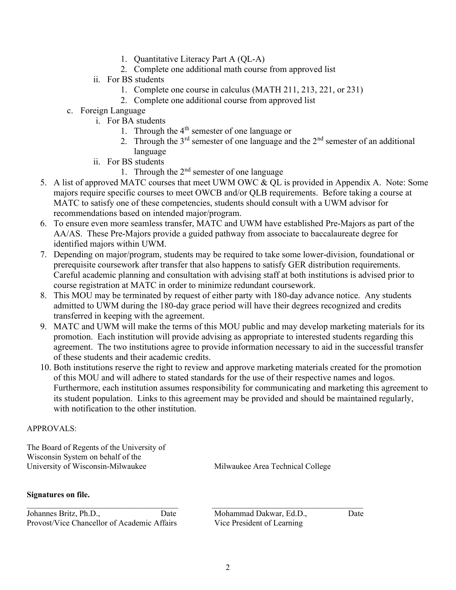- 1. Quantitative Literacy Part A (QL-A)
- 2. Complete one additional math course from approved list
- ii. For BS students
	- 1. Complete one course in calculus (MATH 211, 213, 221, or 231)
	- 2. Complete one additional course from approved list
- c. Foreign Language
	- i. For BA students
		- 1. Through the  $4<sup>th</sup>$  semester of one language or
		- 2. Through the  $3<sup>rd</sup>$  semester of one language and the  $2<sup>nd</sup>$  semester of an additional language
	- ii. For BS students
		- 1. Through the  $2<sup>nd</sup>$  semester of one language
- 5. A list of approved MATC courses that meet UWM OWC & QL is provided in Appendix A. Note: Some majors require specific courses to meet OWCB and/or QLB requirements. Before taking a course at MATC to satisfy one of these competencies, students should consult with a UWM advisor for recommendations based on intended major/program.
- 6. To ensure even more seamless transfer, MATC and UWM have established Pre-Majors as part of the AA/AS. These Pre-Majors provide a guided pathway from associate to baccalaureate degree for identified majors within UWM.
- 7. Depending on major/program, students may be required to take some lower-division, foundational or prerequisite coursework after transfer that also happens to satisfy GER distribution requirements. Careful academic planning and consultation with advising staff at both institutions is advised prior to course registration at MATC in order to minimize redundant coursework.
- 8. This MOU may be terminated by request of either party with 180-day advance notice. Any students admitted to UWM during the 180-day grace period will have their degrees recognized and credits transferred in keeping with the agreement.
- 9. MATC and UWM will make the terms of this MOU public and may develop marketing materials for its promotion. Each institution will provide advising as appropriate to interested students regarding this agreement. The two institutions agree to provide information necessary to aid in the successful transfer of these students and their academic credits.
- 10. Both institutions reserve the right to review and approve marketing materials created for the promotion of this MOU and will adhere to stated standards for the use of their respective names and logos. Furthermore, each institution assumes responsibility for communicating and marketing this agreement to its student population. Links to this agreement may be provided and should be maintained regularly, with notification to the other institution.

## APPROVALS:

The Board of Regents of the University of Wisconsin System on behalf of the University of Wisconsin-Milwaukee Milwaukee Milwaukee Area Technical College

#### Signatures on file.

Johannes Britz, Ph.D., Date Mohammad Dakwar, Ed.D., Date Provost/Vice Chancellor of Academic Affairs Vice President of Learning

 $\mathcal{L}_\mathcal{L} = \{ \mathcal{L}_\mathcal{L} = \{ \mathcal{L}_\mathcal{L} = \{ \mathcal{L}_\mathcal{L} = \{ \mathcal{L}_\mathcal{L} = \{ \mathcal{L}_\mathcal{L} = \{ \mathcal{L}_\mathcal{L} = \{ \mathcal{L}_\mathcal{L} = \{ \mathcal{L}_\mathcal{L} = \{ \mathcal{L}_\mathcal{L} = \{ \mathcal{L}_\mathcal{L} = \{ \mathcal{L}_\mathcal{L} = \{ \mathcal{L}_\mathcal{L} = \{ \mathcal{L}_\mathcal{L} = \{ \mathcal{L}_\mathcal{$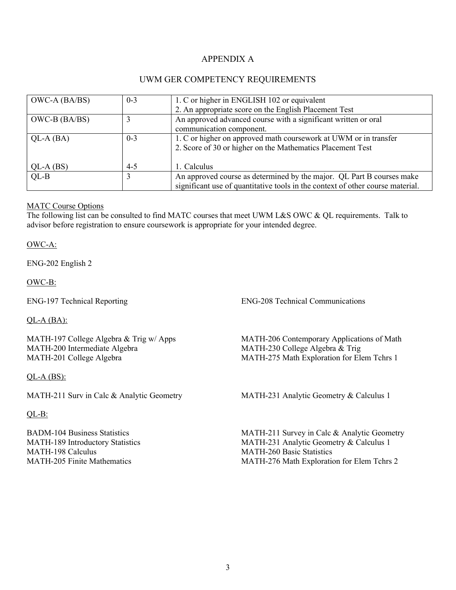# APPENDIX A

## UWM GER COMPETENCY REQUIREMENTS

| OWC-A (BA/BS) | $0 - 3$ | 1. C or higher in ENGLISH 102 or equivalent                                    |
|---------------|---------|--------------------------------------------------------------------------------|
|               |         | 2. An appropriate score on the English Placement Test                          |
| OWC-B (BA/BS) |         | An approved advanced course with a significant written or oral                 |
|               |         | communication component.                                                       |
| $QL-A (BA)$   | $0 - 3$ | 1. C or higher on approved math coursework at UWM or in transfer               |
|               |         | 2. Score of 30 or higher on the Mathematics Placement Test                     |
|               |         |                                                                                |
| $QL-A(BS)$    | $4 - 5$ | 1. Calculus                                                                    |
| $QL-B$        |         | An approved course as determined by the major. QL Part B courses make          |
|               |         | significant use of quantitative tools in the context of other course material. |

#### MATC Course Options

The following list can be consulted to find MATC courses that meet UWM L&S OWC & QL requirements. Talk to advisor before registration to ensure coursework is appropriate for your intended degree.

OWC-A:

ENG-202 English 2

OWC-B:

QL-A (BA):

MATH-197 College Algebra & Trig w/ Apps MATH-200 Intermediate Algebra MATH-201 College Algebra

 $QL-A(BS)$ :

MATH-211 Surv in Calc & Analytic Geometry MATH-231 Analytic Geometry & Calculus 1

QL-B:

BADM-104 Business Statistics MATH-189 Introductory Statistics MATH-198 Calculus MATH-205 Finite Mathematics

ENG-197 Technical Reporting ENG-208 Technical Communications

MATH-206 Contemporary Applications of Math MATH-230 College Algebra & Trig MATH-275 Math Exploration for Elem Tchrs 1

MATH-211 Survey in Calc & Analytic Geometry MATH-231 Analytic Geometry & Calculus 1 MATH-260 Basic Statistics MATH-276 Math Exploration for Elem Tchrs 2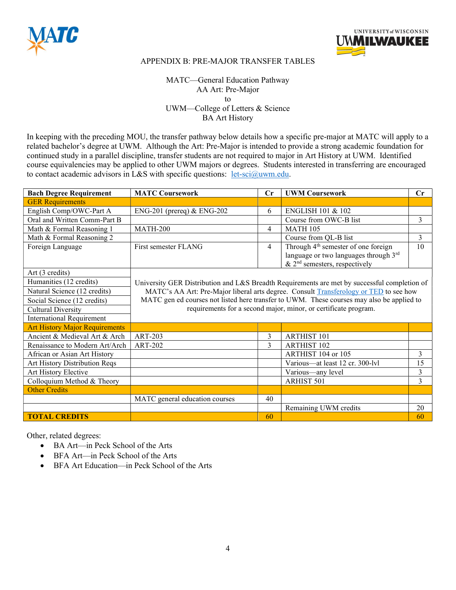



MATC—General Education Pathway AA Art: Pre-Major to UWM—College of Letters & Science BA Art History

In keeping with the preceding MOU, the transfer pathway below details how a specific pre-major at MATC will apply to a related bachelor's degree at UWM. Although the Art: Pre-Major is intended to provide a strong academic foundation for continued study in a parallel discipline, transfer students are not required to major in Art History at UWM. Identified course equivalencies may be applied to other UWM majors or degrees. Students interested in transferring are encouraged to contact academic advisors in L&S with specific questions:  $let\text{-}sci@uum.edu$ .

| <b>Bach Degree Requirement</b>        | <b>MATC Coursework</b>         | Cr                                                                                    | <b>UWM Coursework</b>                                                                        | Cr |  |  |
|---------------------------------------|--------------------------------|---------------------------------------------------------------------------------------|----------------------------------------------------------------------------------------------|----|--|--|
| <b>GER Requirements</b>               |                                |                                                                                       |                                                                                              |    |  |  |
| English Comp/OWC-Part A               | $ENG-201$ (prereq) & ENG-202   | 6                                                                                     | <b>ENGLISH 101 &amp; 102</b>                                                                 |    |  |  |
| Oral and Written Comm-Part B          |                                |                                                                                       | Course from OWC-B list                                                                       | 3  |  |  |
| Math & Formal Reasoning 1             | <b>MATH-200</b>                | $\overline{4}$                                                                        | <b>MATH 105</b>                                                                              |    |  |  |
| Math & Formal Reasoning 2             |                                |                                                                                       | Course from QL-B list                                                                        | 3  |  |  |
| Foreign Language                      | First semester FLANG           | 4                                                                                     | Through 4 <sup>th</sup> semester of one foreign                                              | 10 |  |  |
|                                       |                                |                                                                                       | language or two languages through 3rd<br>& $2nd$ semesters, respectively                     |    |  |  |
| Art (3 credits)                       |                                |                                                                                       |                                                                                              |    |  |  |
| Humanities (12 credits)               |                                |                                                                                       | University GER Distribution and L&S Breadth Requirements are met by successful completion of |    |  |  |
| Natural Science (12 credits)          |                                | MATC's AA Art: Pre-Major liberal arts degree. Consult Transferology or TED to see how |                                                                                              |    |  |  |
| Social Science (12 credits)           |                                |                                                                                       | MATC gen ed courses not listed here transfer to UWM. These courses may also be applied to    |    |  |  |
| <b>Cultural Diversity</b>             |                                |                                                                                       | requirements for a second major, minor, or certificate program.                              |    |  |  |
| <b>International Requirement</b>      |                                |                                                                                       |                                                                                              |    |  |  |
| <b>Art History Major Requirements</b> |                                |                                                                                       |                                                                                              |    |  |  |
| Ancient & Medieval Art & Arch         | <b>ART-203</b>                 | 3                                                                                     | <b>ARTHIST 101</b>                                                                           |    |  |  |
| Renaissance to Modern Art/Arch        | <b>ART-202</b>                 | 3                                                                                     | <b>ARTHIST 102</b>                                                                           |    |  |  |
| African or Asian Art History          |                                |                                                                                       | ARTHIST 104 or 105                                                                           | 3  |  |  |
| Art History Distribution Reqs         |                                |                                                                                       | Various-at least 12 cr. 300-lvl                                                              | 15 |  |  |
| Art History Elective                  |                                |                                                                                       | Various-any level                                                                            | 3  |  |  |
| Colloquium Method & Theory            |                                |                                                                                       | ARHIST 501                                                                                   | 3  |  |  |
| <b>Other Credits</b>                  |                                |                                                                                       |                                                                                              |    |  |  |
|                                       | MATC general education courses | 40                                                                                    |                                                                                              |    |  |  |
|                                       |                                |                                                                                       | Remaining UWM credits                                                                        | 20 |  |  |
| <b>TOTAL CREDITS</b>                  |                                | 60                                                                                    |                                                                                              | 60 |  |  |

- BA Art—in Peck School of the Arts
- BFA Art—in Peck School of the Arts
- BFA Art Education—in Peck School of the Arts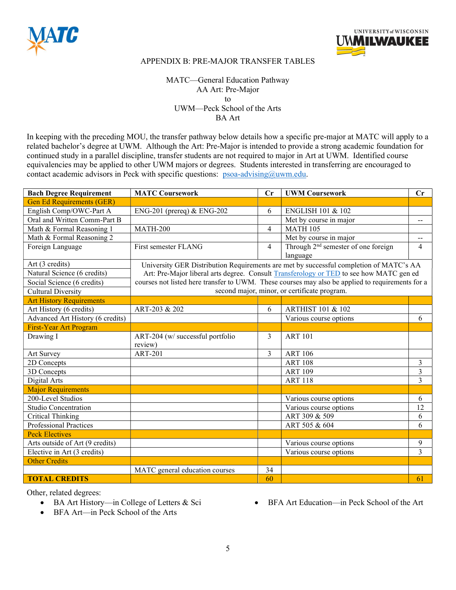



MATC—General Education Pathway AA Art: Pre-Major to UWM—Peck School of the Arts BA Art

In keeping with the preceding MOU, the transfer pathway below details how a specific pre-major at MATC will apply to a related bachelor's degree at UWM. Although the Art: Pre-Major is intended to provide a strong academic foundation for continued study in a parallel discipline, transfer students are not required to major in Art at UWM. Identified course equivalencies may be applied to other UWM majors or degrees. Students interested in transferring are encouraged to contact academic advisors in Peck with specific questions: psoa-advising@uwm.edu.

| <b>Bach Degree Requirement</b>   | <b>MATC Coursework</b>           | Cr             | <b>UWM Coursework</b>                                                                            | Cr                                            |
|----------------------------------|----------------------------------|----------------|--------------------------------------------------------------------------------------------------|-----------------------------------------------|
| <b>Gen Ed Requirements (GER)</b> |                                  |                |                                                                                                  |                                               |
| English Comp/OWC-Part A          | ENG-201 (prereq) & ENG-202       | 6              | <b>ENGLISH 101 &amp; 102</b>                                                                     |                                               |
| Oral and Written Comm-Part B     |                                  |                | Met by course in major                                                                           | $\mathord{\hspace{1pt}\text{--}\hspace{1pt}}$ |
| Math & Formal Reasoning 1        | <b>MATH-200</b>                  | $\overline{4}$ | <b>MATH 105</b>                                                                                  |                                               |
| Math & Formal Reasoning 2        |                                  |                | Met by course in major                                                                           | $- -$                                         |
| Foreign Language                 | First semester FLANG             | $\overline{4}$ | Through 2 <sup>nd</sup> semester of one foreign                                                  | $\overline{4}$                                |
|                                  |                                  |                | language                                                                                         |                                               |
| Art (3 credits)                  |                                  |                | University GER Distribution Requirements are met by successful completion of MATC's AA           |                                               |
| Natural Science (6 credits)      |                                  |                | Art: Pre-Major liberal arts degree. Consult Transferology or TED to see how MATC gen ed          |                                               |
| Social Science (6 credits)       |                                  |                | courses not listed here transfer to UWM. These courses may also be applied to requirements for a |                                               |
| <b>Cultural Diversity</b>        |                                  |                | second major, minor, or certificate program.                                                     |                                               |
| <b>Art History Requirements</b>  |                                  |                |                                                                                                  |                                               |
| Art History (6 credits)          | ART-203 & 202                    | 6              | <b>ARTHIST 101 &amp; 102</b>                                                                     |                                               |
| Advanced Art History (6 credits) |                                  |                | Various course options                                                                           | 6                                             |
| First-Year Art Program           |                                  |                |                                                                                                  |                                               |
| Drawing I                        | ART-204 (w/ successful portfolio | 3              | <b>ART 101</b>                                                                                   |                                               |
|                                  | review)                          |                |                                                                                                  |                                               |
| Art Survey                       | <b>ART-201</b>                   | 3              | <b>ART 106</b>                                                                                   |                                               |
| 2D Concepts                      |                                  |                | <b>ART 108</b>                                                                                   | 3                                             |
| 3D Concepts                      |                                  |                | <b>ART 109</b>                                                                                   | 3                                             |
| Digital Arts                     |                                  |                | <b>ART 118</b>                                                                                   | 3                                             |
| <b>Major Requirements</b>        |                                  |                |                                                                                                  |                                               |
| 200-Level Studios                |                                  |                | Various course options                                                                           | 6                                             |
| <b>Studio Concentration</b>      |                                  |                | Various course options                                                                           | 12                                            |
| <b>Critical Thinking</b>         |                                  |                | ART 309 & 509                                                                                    | 6                                             |
| <b>Professional Practices</b>    |                                  |                | ART 505 & 604                                                                                    | 6                                             |
| <b>Peck Electives</b>            |                                  |                |                                                                                                  |                                               |
| Arts outside of Art (9 credits)  |                                  |                | Various course options                                                                           | 9                                             |
| Elective in Art (3 credits)      |                                  |                | Various course options                                                                           | $\overline{3}$                                |
| <b>Other Credits</b>             |                                  |                |                                                                                                  |                                               |
|                                  | MATC general education courses   | 34             |                                                                                                  |                                               |
| <b>TOTAL CREDITS</b>             |                                  | 60             |                                                                                                  | 61                                            |

Other, related degrees:

- BA Art History—in College of Letters & Sci
- BFA Art Education—in Peck School of the Art

BFA Art—in Peck School of the Arts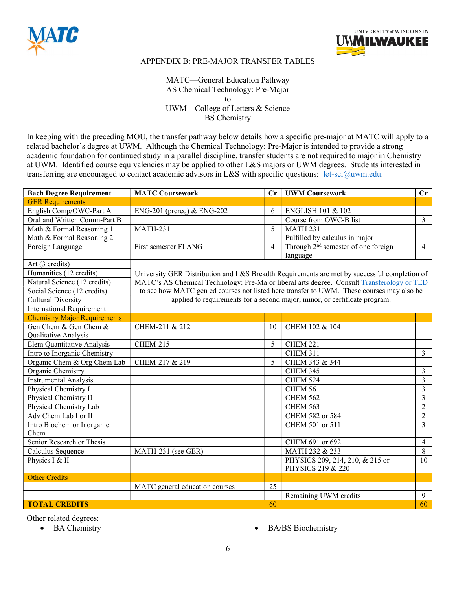



MATC—General Education Pathway AS Chemical Technology: Pre-Major to UWM—College of Letters & Science BS Chemistry

In keeping with the preceding MOU, the transfer pathway below details how a specific pre-major at MATC will apply to a related bachelor's degree at UWM. Although the Chemical Technology: Pre-Major is intended to provide a strong academic foundation for continued study in a parallel discipline, transfer students are not required to major in Chemistry at UWM. Identified course equivalencies may be applied to other L&S majors or UWM degrees. Students interested in transferring are encouraged to contact academic advisors in L&S with specific questions: let-sci@uwm.edu.

| <b>Bach Degree Requirement</b>      | <b>MATC Coursework</b>         | $\mathbf{C}$ r | <b>UWM Coursework</b>                                                                        | $\mathbf{C}$ r |
|-------------------------------------|--------------------------------|----------------|----------------------------------------------------------------------------------------------|----------------|
| <b>GER Requirements</b>             |                                |                |                                                                                              |                |
| English Comp/OWC-Part A             | $ENG-201$ (prereq) & ENG-202   | 6              | ENGLISH 101 & 102                                                                            |                |
| Oral and Written Comm-Part B        |                                |                | Course from OWC-B list                                                                       | 3              |
| Math & Formal Reasoning 1           | <b>MATH-231</b>                | 5              | <b>MATH 231</b>                                                                              |                |
| Math & Formal Reasoning 2           |                                |                | Fulfilled by calculus in major                                                               |                |
| Foreign Language                    | First semester FLANG           | 4              | Through 2 <sup>nd</sup> semester of one foreign                                              | $\overline{4}$ |
|                                     |                                |                | language                                                                                     |                |
| Art (3 credits)                     |                                |                |                                                                                              |                |
| Humanities (12 credits)             |                                |                | University GER Distribution and L&S Breadth Requirements are met by successful completion of |                |
| Natural Science (12 credits)        |                                |                | MATC's AS Chemical Technology: Pre-Major liberal arts degree. Consult Transferology or TED   |                |
| Social Science (12 credits)         |                                |                | to see how MATC gen ed courses not listed here transfer to UWM. These courses may also be    |                |
| <b>Cultural Diversity</b>           |                                |                | applied to requirements for a second major, minor, or certificate program.                   |                |
| <b>International Requirement</b>    |                                |                |                                                                                              |                |
| <b>Chemistry Major Requirements</b> |                                |                |                                                                                              |                |
| Gen Chem & Gen Chem &               | CHEM-211 & 212                 | 10             | CHEM 102 & 104                                                                               |                |
| Qualitative Analysis                |                                |                |                                                                                              |                |
| Elem Quantitative Analysis          | <b>CHEM-215</b>                | 5              | CHEM 221                                                                                     |                |
| Intro to Inorganic Chemistry        |                                |                | <b>CHEM 311</b>                                                                              | 3              |
| Organic Chem & Org Chem Lab         | CHEM-217 & 219                 | 5              | CHEM 343 & 344                                                                               |                |
| Organic Chemistry                   |                                |                | CHEM 345                                                                                     | 3              |
| <b>Instrumental Analysis</b>        |                                |                | <b>CHEM 524</b>                                                                              | $\overline{3}$ |
| Physical Chemistry I                |                                |                | <b>CHEM 561</b>                                                                              | 3              |
| Physical Chemistry II               |                                |                | <b>CHEM 562</b>                                                                              | 3              |
| Physical Chemistry Lab              |                                |                | <b>CHEM 563</b>                                                                              | $\overline{2}$ |
| Adv Chem Lab I or II                |                                |                | CHEM 582 or 584                                                                              | $\overline{2}$ |
| Intro Biochem or Inorganic          |                                |                | CHEM 501 or 511                                                                              | 3              |
| Chem                                |                                |                |                                                                                              |                |
| Senior Research or Thesis           |                                |                | CHEM 691 or 692                                                                              | $\overline{4}$ |
| Calculus Sequence                   | MATH-231 (see GER)             |                | MATH 232 & 233                                                                               | 8              |
| Physics I & II                      |                                |                | PHYSICS 209, 214, 210, & 215 or                                                              | 10             |
|                                     |                                |                | PHYSICS 219 & 220                                                                            |                |
| <b>Other Credits</b>                |                                |                |                                                                                              |                |
|                                     | MATC general education courses | 25             |                                                                                              |                |
|                                     |                                |                | Remaining UWM credits                                                                        | 9              |
| <b>TOTAL CREDITS</b>                |                                | 60             |                                                                                              | 60             |

- 
- BA Chemistry **BA/BS** Biochemistry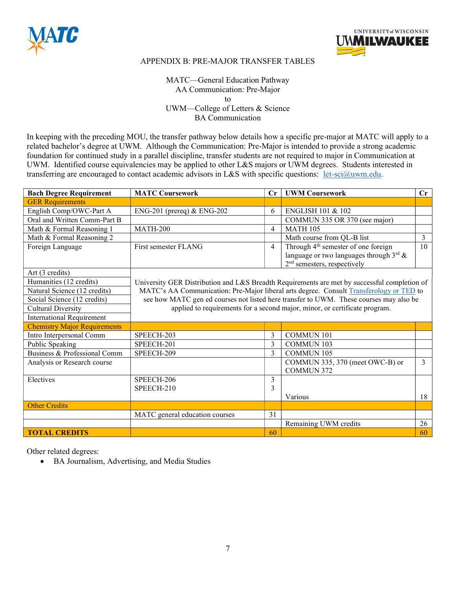



MATC—General Education Pathway AA Communication: Pre-Major to UWM—College of Letters & Science BA Communication

In keeping with the preceding MOU, the transfer pathway below details how a specific pre-major at MATC will apply to a related bachelor's degree at UWM. Although the Communication: Pre-Major is intended to provide a strong academic foundation for continued study in a parallel discipline, transfer students are not required to major in Communication at UWM. Identified course equivalencies may be applied to other L&S majors or UWM degrees. Students interested in transferring are encouraged to contact academic advisors in L&S with specific questions: let-sci@uwm.edu.

| <b>Bach Degree Requirement</b>      | <b>MATC Coursework</b>         | Cr             | <b>UWM Coursework</b>                                                                        | Cr |
|-------------------------------------|--------------------------------|----------------|----------------------------------------------------------------------------------------------|----|
| <b>GER Requirements</b>             |                                |                |                                                                                              |    |
| English Comp/OWC-Part A             | $ENG-201$ (prereq) & $ENG-202$ | 6              | <b>ENGLISH 101 &amp; 102</b>                                                                 |    |
| Oral and Written Comm-Part B        |                                |                | COMMUN 335 OR 370 (see major)                                                                |    |
| Math & Formal Reasoning 1           | <b>MATH-200</b>                | $\overline{4}$ | <b>MATH 105</b>                                                                              |    |
| Math & Formal Reasoning 2           |                                |                | Math course from QL-B list                                                                   | 3  |
| Foreign Language                    | First semester FLANG           | $\overline{4}$ | Through 4 <sup>th</sup> semester of one foreign                                              | 10 |
|                                     |                                |                | language or two languages through $3^{\text{rd}}$ &                                          |    |
|                                     |                                |                | 2 <sup>nd</sup> semesters, respectively                                                      |    |
| Art (3 credits)                     |                                |                |                                                                                              |    |
| Humanities (12 credits)             |                                |                | University GER Distribution and L&S Breadth Requirements are met by successful completion of |    |
| Natural Science (12 credits)        |                                |                | MATC's AA Communication: Pre-Major liberal arts degree. Consult Transferology or TED to      |    |
| Social Science (12 credits)         |                                |                | see how MATC gen ed courses not listed here transfer to UWM. These courses may also be       |    |
| <b>Cultural Diversity</b>           |                                |                | applied to requirements for a second major, minor, or certificate program.                   |    |
| <b>International Requirement</b>    |                                |                |                                                                                              |    |
| <b>Chemistry Major Requirements</b> |                                |                |                                                                                              |    |
| Intro Interpersonal Comm            | SPEECH-203                     | 3              | <b>COMMUN 101</b>                                                                            |    |
| Public Speaking                     | SPEECH-201                     | 3              | <b>COMMUN 103</b>                                                                            |    |
| Business & Professional Comm        | SPEECH-209                     | $\mathcal{E}$  | <b>COMMUN 105</b>                                                                            |    |
| Analysis or Research course         |                                |                | COMMUN 335, 370 (meet OWC-B) or                                                              | 3  |
|                                     |                                |                | <b>COMMUN 372</b>                                                                            |    |
| Electives                           | SPEECH-206                     | 3              |                                                                                              |    |
|                                     | SPEECH-210                     | 3              |                                                                                              |    |
|                                     |                                |                | Various                                                                                      | 18 |
| <b>Other Credits</b>                |                                |                |                                                                                              |    |
|                                     | MATC general education courses | 31             |                                                                                              |    |
|                                     |                                |                | Remaining UWM credits                                                                        | 26 |
| <b>TOTAL CREDITS</b>                |                                | 60             |                                                                                              | 60 |

Other related degrees:

BA Journalism, Advertising, and Media Studies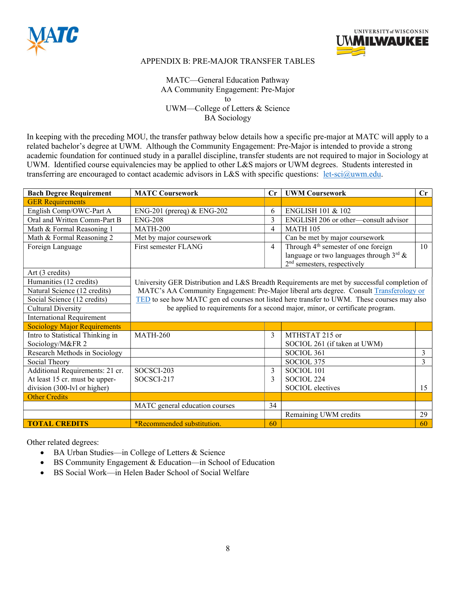



## MATC—General Education Pathway AA Community Engagement: Pre-Major to UWM—College of Letters & Science BA Sociology

In keeping with the preceding MOU, the transfer pathway below details how a specific pre-major at MATC will apply to a related bachelor's degree at UWM. Although the Community Engagement: Pre-Major is intended to provide a strong academic foundation for continued study in a parallel discipline, transfer students are not required to major in Sociology at UWM. Identified course equivalencies may be applied to other L&S majors or UWM degrees. Students interested in transferring are encouraged to contact academic advisors in L&S with specific questions: let-sci@uwm.edu.

| <b>Bach Degree Requirement</b>      | <b>MATC Coursework</b>            | $\mathbf{C}$ r | <b>UWM Coursework</b>                                                                                                                             | Cr |
|-------------------------------------|-----------------------------------|----------------|---------------------------------------------------------------------------------------------------------------------------------------------------|----|
| <b>GER Requirements</b>             |                                   |                |                                                                                                                                                   |    |
| English Comp/OWC-Part A             | $ENG-201$ (prereq) & $ENG-202$    | 6              | <b>ENGLISH 101 &amp; 102</b>                                                                                                                      |    |
| Oral and Written Comm-Part B        | <b>ENG-208</b>                    | 3              | ENGLISH 206 or other-consult advisor                                                                                                              |    |
| Math & Formal Reasoning 1           | <b>MATH-200</b>                   | $\overline{4}$ | <b>MATH 105</b>                                                                                                                                   |    |
| Math & Formal Reasoning 2           | Met by major coursework           |                | Can be met by major coursework                                                                                                                    |    |
| Foreign Language                    | First semester FLANG              | 4              | Through 4 <sup>th</sup> semester of one foreign<br>language or two languages through $3^{\text{rd}}$ &<br>2 <sup>nd</sup> semesters, respectively | 10 |
| Art (3 credits)                     |                                   |                |                                                                                                                                                   |    |
| Humanities (12 credits)             |                                   |                | University GER Distribution and L&S Breadth Requirements are met by successful completion of                                                      |    |
| Natural Science (12 credits)        |                                   |                | MATC's AA Community Engagement: Pre-Major liberal arts degree. Consult Transferology or                                                           |    |
| Social Science (12 credits)         |                                   |                | TED to see how MATC gen ed courses not listed here transfer to UWM. These courses may also                                                        |    |
| <b>Cultural Diversity</b>           |                                   |                | be applied to requirements for a second major, minor, or certificate program.                                                                     |    |
| <b>International Requirement</b>    |                                   |                |                                                                                                                                                   |    |
| <b>Sociology Major Requirements</b> |                                   |                |                                                                                                                                                   |    |
| Intro to Statistical Thinking in    | <b>MATH-260</b>                   | 3              | MTHSTAT 215 or                                                                                                                                    |    |
| Sociology/M&FR 2                    |                                   |                | SOCIOL 261 (if taken at UWM)                                                                                                                      |    |
| Research Methods in Sociology       |                                   |                | SOCIOL 361                                                                                                                                        | 3  |
| Social Theory                       |                                   |                | SOCIOL 375                                                                                                                                        | 3  |
| Additional Requirements: 21 cr.     | SOCSCI-203                        | 3              | SOCIOL 101                                                                                                                                        |    |
| At least 15 cr. must be upper-      | SOCSCI-217                        | 3              | SOCIOL 224                                                                                                                                        |    |
| division (300-lvl or higher)        |                                   |                | SOCIOL electives                                                                                                                                  | 15 |
| <b>Other Credits</b>                |                                   |                |                                                                                                                                                   |    |
|                                     | MATC general education courses    | 34             |                                                                                                                                                   |    |
|                                     |                                   |                | Remaining UWM credits                                                                                                                             | 29 |
| <b>TOTAL CREDITS</b>                | <i>*Recommended substitution.</i> | 60             |                                                                                                                                                   | 60 |

- BA Urban Studies—in College of Letters & Science
- BS Community Engagement & Education—in School of Education
- BS Social Work—in Helen Bader School of Social Welfare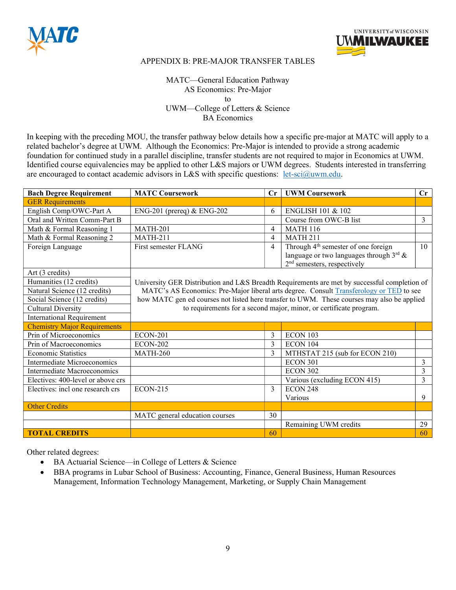



MATC—General Education Pathway AS Economics: Pre-Major to UWM—College of Letters & Science BA Economics

In keeping with the preceding MOU, the transfer pathway below details how a specific pre-major at MATC will apply to a related bachelor's degree at UWM. Although the Economics: Pre-Major is intended to provide a strong academic foundation for continued study in a parallel discipline, transfer students are not required to major in Economics at UWM. Identified course equivalencies may be applied to other L&S majors or UWM degrees. Students interested in transferring are encouraged to contact academic advisors in L&S with specific questions: let-sci@uwm.edu.

| <b>Bach Degree Requirement</b>      | <b>MATC Coursework</b>         | $\mathbf{C}$ r | <b>UWM Coursework</b>                                                                        | Cr |
|-------------------------------------|--------------------------------|----------------|----------------------------------------------------------------------------------------------|----|
| <b>GER Requirements</b>             |                                |                |                                                                                              |    |
| English Comp/OWC-Part A             | $ENG-201$ (prereq) & $ENG-202$ | 6              | <b>ENGLISH 101 &amp; 102</b>                                                                 |    |
| Oral and Written Comm-Part B        |                                |                | Course from OWC-B list                                                                       | 3  |
| Math & Formal Reasoning 1           | <b>MATH-201</b>                | $\overline{4}$ | <b>MATH 116</b>                                                                              |    |
| Math & Formal Reasoning 2           | <b>MATH-211</b>                | 4              | <b>MATH 211</b>                                                                              |    |
| Foreign Language                    | First semester FLANG           | 4              | Through 4 <sup>th</sup> semester of one foreign                                              | 10 |
|                                     |                                |                | language or two languages through $3^{\text{rd}}$ &                                          |    |
|                                     |                                |                | $2nd$ semesters, respectively                                                                |    |
| Art (3 credits)                     |                                |                |                                                                                              |    |
| Humanities (12 credits)             |                                |                | University GER Distribution and L&S Breadth Requirements are met by successful completion of |    |
| Natural Science (12 credits)        |                                |                | MATC's AS Economics: Pre-Major liberal arts degree. Consult Transferology or TED to see      |    |
| Social Science (12 credits)         |                                |                | how MATC gen ed courses not listed here transfer to UWM. These courses may also be applied   |    |
| <b>Cultural Diversity</b>           |                                |                | to requirements for a second major, minor, or certificate program.                           |    |
| <b>International Requirement</b>    |                                |                |                                                                                              |    |
| <b>Chemistry Major Requirements</b> |                                |                |                                                                                              |    |
| Prin of Microeconomics              | <b>ECON-201</b>                | 3              | ECON 103                                                                                     |    |
| Prin of Macroeconomics              | <b>ECON-202</b>                | 3              | ECON 104                                                                                     |    |
| <b>Economic Statistics</b>          | <b>MATH-260</b>                | 3              | MTHSTAT 215 (sub for ECON 210)                                                               |    |
| Intermediate Microeconomics         |                                |                | ECON 301                                                                                     | 3  |
| Intermediate Macroeconomics         |                                |                | <b>ECON 302</b>                                                                              | 3  |
| Electives: 400-level or above crs   |                                |                | Various (excluding ECON 415)                                                                 | 3  |
| Electives: incl one research crs    | <b>ECON-215</b>                | 3              | <b>ECON 248</b>                                                                              |    |
|                                     |                                |                | Various                                                                                      | 9  |
| <b>Other Credits</b>                |                                |                |                                                                                              |    |
|                                     | MATC general education courses | 30             |                                                                                              |    |
|                                     |                                |                | Remaining UWM credits                                                                        | 29 |
| <b>TOTAL CREDITS</b>                |                                | 60             |                                                                                              | 60 |

- BA Actuarial Science—in College of Letters & Science
- BBA programs in Lubar School of Business: Accounting, Finance, General Business, Human Resources Management, Information Technology Management, Marketing, or Supply Chain Management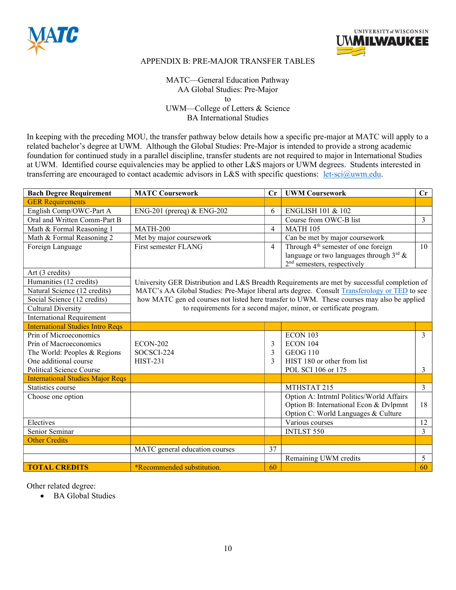



MATC—General Education Pathway AA Global Studies: Pre-Major to UWM—College of Letters & Science BA International Studies

In keeping with the preceding MOU, the transfer pathway below details how a specific pre-major at MATC will apply to a related bachelor's degree at UWM. Although the Global Studies: Pre-Major is intended to provide a strong academic foundation for continued study in a parallel discipline, transfer students are not required to major in International Studies at UWM. Identified course equivalencies may be applied to other L&S majors or UWM degrees. Students interested in transferring are encouraged to contact academic advisors in L&S with specific questions: let-sci@uwm.edu.

| <b>Bach Degree Requirement</b>          | <b>MATC Coursework</b>         | Cr             | <b>UWM Coursework</b>                                                                        | Cr             |
|-----------------------------------------|--------------------------------|----------------|----------------------------------------------------------------------------------------------|----------------|
| <b>GER Requirements</b>                 |                                |                |                                                                                              |                |
| English Comp/OWC-Part A                 | ENG-201 (prereq) & ENG-202     | 6              | <b>ENGLISH 101 &amp; 102</b>                                                                 |                |
| Oral and Written Comm-Part B            |                                |                | Course from OWC-B list                                                                       | 3              |
| Math & Formal Reasoning 1               | <b>MATH-200</b>                | $\overline{4}$ | <b>MATH 105</b>                                                                              |                |
| Math & Formal Reasoning 2               | Met by major coursework        |                | Can be met by major coursework                                                               |                |
| Foreign Language                        | First semester FLANG           | 4              | Through 4 <sup>th</sup> semester of one foreign                                              | 10             |
|                                         |                                |                | language or two languages through $3^{\text{rd}}$ &                                          |                |
|                                         |                                |                | $2nd$ semesters, respectively                                                                |                |
| Art (3 credits)                         |                                |                |                                                                                              |                |
| Humanities (12 credits)                 |                                |                | University GER Distribution and L&S Breadth Requirements are met by successful completion of |                |
| Natural Science (12 credits)            |                                |                | MATC's AA Global Studies: Pre-Major liberal arts degree. Consult Transferology or TED to see |                |
| Social Science (12 credits)             |                                |                | how MATC gen ed courses not listed here transfer to UWM. These courses may also be applied   |                |
| <b>Cultural Diversity</b>               |                                |                | to requirements for a second major, minor, or certificate program.                           |                |
| <b>International Requirement</b>        |                                |                |                                                                                              |                |
| <b>International Studies Intro Reqs</b> |                                |                |                                                                                              |                |
| Prin of Microeconomics                  |                                |                | <b>ECON 103</b>                                                                              | $\mathbf{3}$   |
| Prin of Macroeconomics                  | <b>ECON-202</b>                | 3              | ECON 104                                                                                     |                |
| The World: Peoples & Regions            | SOCSCI-224                     | 3              | <b>GEOG 110</b>                                                                              |                |
| One additional course                   | <b>HIST-231</b>                | 3              | HIST 180 or other from list                                                                  |                |
| <b>Political Science Course</b>         |                                |                | POL SCI 106 or 175                                                                           | 3              |
| <b>International Studies Major Reqs</b> |                                |                |                                                                                              |                |
| Statistics course                       |                                |                | MTHSTAT 215                                                                                  | $\mathfrak{Z}$ |
| Choose one option                       |                                |                | Option A: Intrntnl Politics/World Affairs                                                    |                |
|                                         |                                |                | Option B: International Econ & Dylpmnt                                                       | 18             |
|                                         |                                |                | Option C: World Languages & Culture                                                          |                |
| Electives                               |                                |                | Various courses                                                                              | 12             |
| Senior Seminar                          |                                |                | <b>INTLST 550</b>                                                                            | 3              |
| <b>Other Credits</b>                    |                                |                |                                                                                              |                |
|                                         | MATC general education courses | 37             |                                                                                              |                |
|                                         |                                |                | Remaining UWM credits                                                                        | 5              |
| <b>TOTAL CREDITS</b>                    | *Recommended substitution.     | 60             |                                                                                              | 60             |

Other related degree:

• BA Global Studies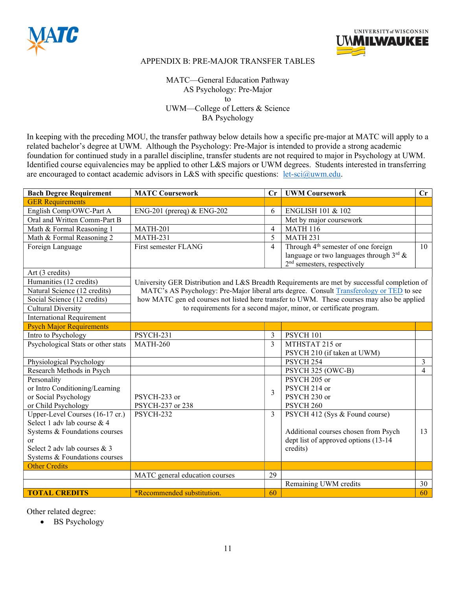



MATC—General Education Pathway AS Psychology: Pre-Major to UWM—College of Letters & Science BA Psychology

In keeping with the preceding MOU, the transfer pathway below details how a specific pre-major at MATC will apply to a related bachelor's degree at UWM. Although the Psychology: Pre-Major is intended to provide a strong academic foundation for continued study in a parallel discipline, transfer students are not required to major in Psychology at UWM. Identified course equivalencies may be applied to other L&S majors or UWM degrees. Students interested in transferring are encouraged to contact academic advisors in L&S with specific questions: let-sci@uwm.edu.

| <b>Bach Degree Requirement</b>     | <b>MATC Coursework</b>         | Cr             | <b>UWM Coursework</b>                                                                        | Cr             |
|------------------------------------|--------------------------------|----------------|----------------------------------------------------------------------------------------------|----------------|
| <b>GER Requirements</b>            |                                |                |                                                                                              |                |
| English Comp/OWC-Part A            | ENG-201 (prereq) & ENG-202     | 6              | ENGLISH 101 & 102                                                                            |                |
| Oral and Written Comm-Part B       |                                |                | Met by major coursework                                                                      |                |
| Math & Formal Reasoning 1          | <b>MATH-201</b>                | $\overline{4}$ | <b>MATH 116</b>                                                                              |                |
| Math & Formal Reasoning 2          | <b>MATH-231</b>                | 5              | <b>MATH 231</b>                                                                              |                |
| Foreign Language                   | First semester FLANG           | $\overline{4}$ | Through 4 <sup>th</sup> semester of one foreign                                              | 10             |
|                                    |                                |                | language or two languages through $3^{\text{rd}}$ &                                          |                |
|                                    |                                |                | 2 <sup>nd</sup> semesters, respectively                                                      |                |
| Art (3 credits)                    |                                |                |                                                                                              |                |
| Humanities (12 credits)            |                                |                | University GER Distribution and L&S Breadth Requirements are met by successful completion of |                |
| Natural Science (12 credits)       |                                |                | MATC's AS Psychology: Pre-Major liberal arts degree. Consult Transferology or TED to see     |                |
| Social Science (12 credits)        |                                |                | how MATC gen ed courses not listed here transfer to UWM. These courses may also be applied   |                |
| <b>Cultural Diversity</b>          |                                |                | to requirements for a second major, minor, or certificate program.                           |                |
| <b>International Requirement</b>   |                                |                |                                                                                              |                |
| <b>Psych Major Requirements</b>    |                                |                |                                                                                              |                |
| Intro to Psychology                | <b>PSYCH-231</b>               | 3              | PSYCH 101                                                                                    |                |
| Psychological Stats or other stats | <b>MATH-260</b>                | 3              | MTHSTAT 215 or                                                                               |                |
|                                    |                                |                | PSYCH 210 (if taken at UWM)                                                                  |                |
| Physiological Psychology           |                                |                | PSYCH <sub>254</sub>                                                                         | 3              |
| Research Methods in Psych          |                                |                | PSYCH 325 (OWC-B)                                                                            | $\overline{4}$ |
| Personality                        |                                |                | PSYCH 205 or                                                                                 |                |
| or Intro Conditioning/Learning     |                                | 3              | PSYCH 214 or                                                                                 |                |
| or Social Psychology               | PSYCH-233 or                   |                | PSYCH 230 or                                                                                 |                |
| or Child Psychology                | PSYCH-237 or 238               |                | PSYCH <sub>260</sub>                                                                         |                |
| Upper-Level Courses (16-17 cr.)    | PSYCH-232                      | 3              | PSYCH 412 (Sys & Found course)                                                               |                |
| Select 1 adv lab course & 4        |                                |                |                                                                                              |                |
| Systems & Foundations courses      |                                |                | Additional courses chosen from Psych                                                         | 13             |
| $\alpha$ r                         |                                |                | dept list of approved options (13-14                                                         |                |
| Select 2 adv lab courses & 3       |                                |                | credits)                                                                                     |                |
| Systems & Foundations courses      |                                |                |                                                                                              |                |
| <b>Other Credits</b>               |                                |                |                                                                                              |                |
|                                    | MATC general education courses | 29             |                                                                                              |                |
|                                    |                                |                | Remaining UWM credits                                                                        | 30             |
| <b>TOTAL CREDITS</b>               | *Recommended substitution.     | 60             |                                                                                              | 60             |

Other related degree:

• BS Psychology